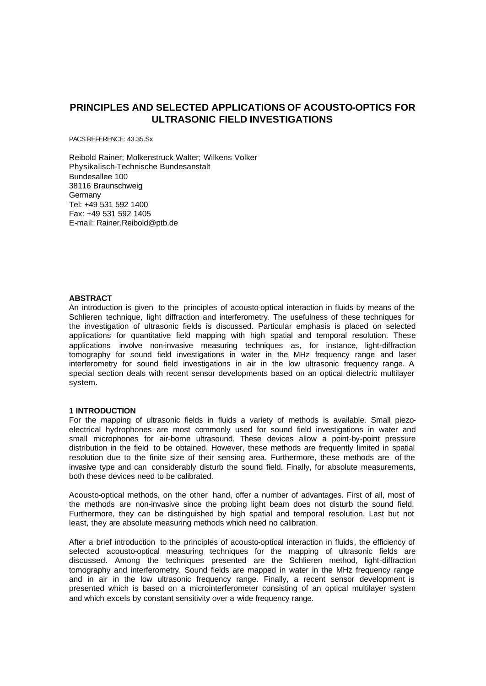# **PRINCIPLES AND SELECTED APPLICATIONS OF ACOUSTO-OPTICS FOR ULTRASONIC FIELD INVESTIGATIONS**

PACS REFERENCE: 43.35.Sx

Reibold Rainer; Molkenstruck Walter; Wilkens Volker Physikalisch-Technische Bundesanstalt Bundesallee 100 38116 Braunschweig Germany Tel: +49 531 592 1400 Fax: +49 531 592 1405 E-mail: Rainer.Reibold@ptb.de

# **ABSTRACT**

An introduction is given to the principles of acousto-optical interaction in fluids by means of the Schlieren technique, light diffraction and interferometry. The usefulness of these techniques for the investigation of ultrasonic fields is discussed. Particular emphasis is placed on selected applications for quantitative field mapping with high spatial and temporal resolution. These applications involve non-invasive measuring techniques as, for instance, light-diffraction tomography for sound field investigations in water in the MHz frequency range and laser interferometry for sound field investigations in air in the low ultrasonic frequency range. A special section deals with recent sensor developments based on an optical dielectric multilayer system.

## **1 INTRODUCTION**

For the mapping of ultrasonic fields in fluids a variety of methods is available. Small piezoelectrical hydrophones are most commonly used for sound field investigations in water and small microphones for air-borne ultrasound. These devices allow a point-by-point pressure distribution in the field to be obtained. However, these methods are frequently limited in spatial resolution due to the finite size of their sensing area. Furthermore, these methods are of the invasive type and can considerably disturb the sound field. Finally, for absolute measurements, both these devices need to be calibrated.

Acousto-optical methods, on the other hand, offer a number of advantages. First of all, most of the methods are non-invasive since the probing light beam does not disturb the sound field. Furthermore, they can be distinguished by high spatial and temporal resolution. Last but not least, they are absolute measuring methods which need no calibration.

After a brief introduction to the principles of acousto-optical interaction in fluids, the efficiency of selected acousto-optical measuring techniques for the mapping of ultrasonic fields are discussed. Among the techniques presented are the Schlieren method, light-diffraction tomography and interferometry. Sound fields are mapped in water in the MHz frequency range and in air in the low ultrasonic frequency range. Finally, a recent sensor development is presented which is based on a microinterferometer consisting of an optical multilayer system and which excels by constant sensitivity over a wide frequency range.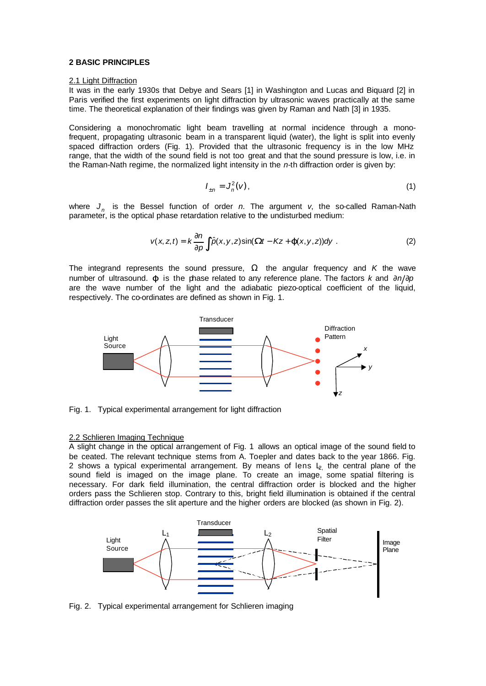#### **2 BASIC PRINCIPLES**

## 2.1 Light Diffraction

It was in the early 1930s that Debye and Sears [1] in Washington and Lucas and Biquard [2] in Paris verified the first experiments on light diffraction by ultrasonic waves practically at the same time. The theoretical explanation of their findings was given by Raman and Nath [3] in 1935.

Considering a monochromatic light beam travelling at normal incidence through a monofrequent, propagating ultrasonic beam in a transparent liquid (water), the light is split into evenly spaced diffraction orders (Fig. 1). Provided that the ultrasonic frequency is in the low MHz range, that the width of the sound field is not too great and that the sound pressure is low, i.e. in the Raman-Nath regime, the normalized light intensity in the *n-*th diffraction order is given by:

$$
I_{\pm n} = J_n^2(v),\tag{1}
$$

where  $J_n$  is the Bessel function of order *n*. The argument *v*, the so-called Raman-Nath parameter, is the optical phase retardation relative to the undisturbed medium:

$$
v(x, z, t) = k \frac{\partial n}{\partial \rho} \int \hat{p}(x, y, z) \sin(Wt - Kz + \mathbf{j}(x, y, z)) dy
$$
 (2)

The integrand represents the sound pressure, *W* the angular frequency and *K* the wave number of ultrasound. *j* is the phase related to any reference plane. The factors *k* and ∂*n* ∂*p* are the wave number of the light and the adiabatic piezo-optical coefficient of the liquid, respectively. The co-ordinates are defined as shown in Fig. 1.



Fig. 1. Typical experimental arrangement for light diffraction

#### 2.2 Schlieren Imaging Technique

A slight change in the optical arrangement of Fig. 1 allows an optical image of the sound field to be ceated. The relevant technique stems from A. Toepler and dates back to the year 1866. Fig. 2 shows a typical experimental arrangement. By means of lens  $L_2$  the central plane of the sound field is imaged on the image plane. To create an image, some spatial filtering is necessary. For dark field illumination, the central diffraction order is blocked and the higher orders pass the Schlieren stop. Contrary to this, bright field illumination is obtained if the central diffraction order passes the slit aperture and the higher orders are blocked (as shown in Fig. 2).



Fig. 2. Typical experimental arrangement for Schlieren imaging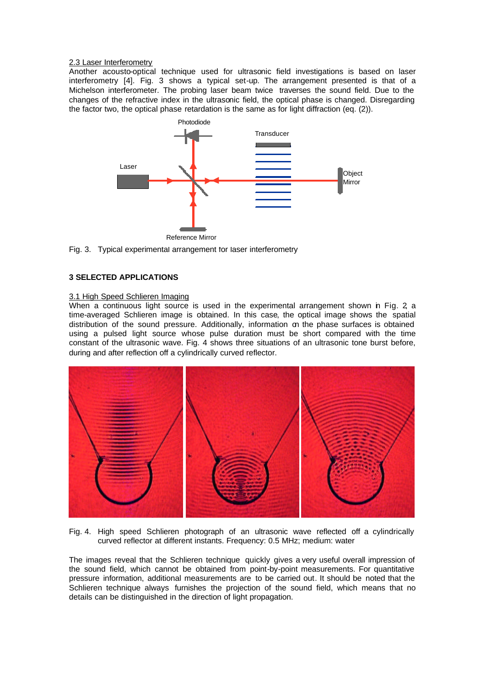### 2.3 Laser Interferometry

Another acousto-optical technique used for ultrasonic field investigations is based on laser interferometry [4]. Fig. 3 shows a typical set-up. The arrangement presented is that of a Michelson interferometer. The probing laser beam twice traverses the sound field. Due to the changes of the refractive index in the ultrasonic field, the optical phase is changed. Disregarding the factor two, the optical phase retardation is the same as for light diffraction (eq. (2)).





# **3 SELECTED APPLICATIONS**

### 3.1 High Speed Schlieren Imaging

When a continuous light source is used in the experimental arrangement shown in Fig. 2 a time-averaged Schlieren image is obtained. In this case, the optical image shows the spatial distribution of the sound pressure. Additionally, information on the phase surfaces is obtained using a pulsed light source whose pulse duration must be short compared with the time constant of the ultrasonic wave. Fig. 4 shows three situations of an ultrasonic tone burst before, during and after reflection off a cylindrically curved reflector.



Fig. 4. High speed Schlieren photograph of an ultrasonic wave reflected off a cylindrically curved reflector at different instants. Frequency: 0.5 MHz; medium: water

The images reveal that the Schlieren technique quickly gives a very useful overall impression of the sound field, which cannot be obtained from point-by-point measurements. For quantitative pressure information, additional measurements are to be carried out. It should be noted that the Schlieren technique always furnishes the projection of the sound field, which means that no details can be distinguished in the direction of light propagation.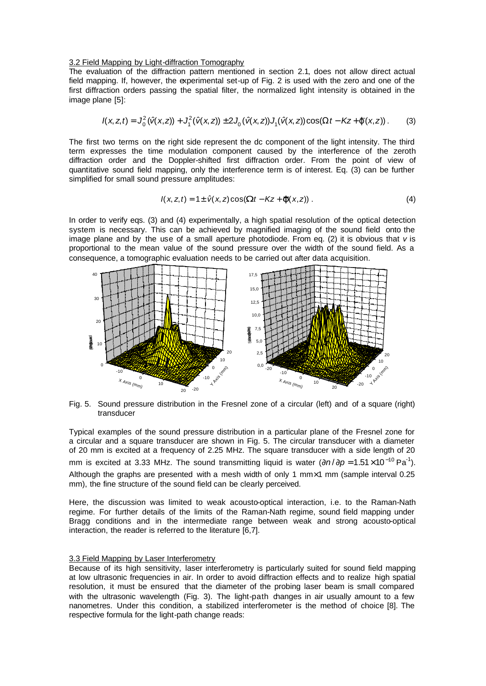#### 3.2 Field Mapping by Light-diffraction Tomography

The evaluation of the diffraction pattern mentioned in section 2.1, does not allow direct actual field mapping. If, however, the experimental set-up of Fig. 2 is used with the zero and one of the first diffraction orders passing the spatial filter, the normalized light intensity is obtained in the image plane [5]:

$$
I(x, z, t) = J_0^2(\hat{v}(x, z)) + J_1^2(\hat{v}(x, z)) \pm 2J_0(\hat{v}(x, z))J_1(\hat{v}(x, z))\cos(Wt - Kz + \bar{J}(x, z)).
$$
 (3)

The first two terms on the right side represent the dc component of the light intensity. The third term expresses the time modulation component caused by the interference of the zeroth diffraction order and the Doppler-shifted first diffraction order. From the point of view of quantitative sound field mapping, only the interference term is of interest. Eq. (3) can be further simplified for small sound pressure amplitudes:

$$
I(x, z, t) = 1 \pm \hat{v}(x, z) \cos(Wt - Kz + \mathbf{J}(x, z)). \tag{4}
$$

In order to verify eqs. (3) and (4) experimentally, a high spatial resolution of the optical detection system is necessary. This can be achieved by magnified imaging of the sound field onto the image plane and by the use of a small aperture photodiode. From eq. (2) it is obvious that *v* is proportional to the mean value of the sound pressure over the width of the sound field. As a consequence, a tomographic evaluation needs to be carried out after data acquisition.



Fig. 5. Sound pressure distribution in the Fresnel zone of a circular (left) and of a square (right) transducer

Typical examples of the sound pressure distribution in a particular plane of the Fresnel zone for a circular and a square transducer are shown in Fig. 5. The circular transducer with a diameter of 20 mm is excited at a frequency of 2.25 MHz. The square transducer with a side length of 20 mm is excited at 3.33 MHz. The sound transmitting liquid is water  $(\partial n/\partial p = 1.51 \times 10^{-10}$  Pa<sup>-1</sup>). Although the graphs are presented with a mesh width of only 1 mm×1 mm (sample interval 0.25 mm), the fine structure of the sound field can be clearly perceived.

Here, the discussion was limited to weak acousto-optical interaction, i.e. to the Raman-Nath regime. For further details of the limits of the Raman-Nath regime, sound field mapping under Bragg conditions and in the intermediate range between weak and strong acousto-optical interaction, the reader is referred to the literature [6,7].

### 3.3 Field Mapping by Laser Interferometry

Because of its high sensitivity, laser interferometry is particularly suited for sound field mapping at low ultrasonic frequencies in air. In order to avoid diffraction effects and to realize high spatial resolution, it must be ensured that the diameter of the probing laser beam is small compared with the ultrasonic wavelength (Fig. 3). The light-path changes in air usually amount to a few nanometres. Under this condition, a stabilized interferometer is the method of choice [8]. The respective formula for the light-path change reads: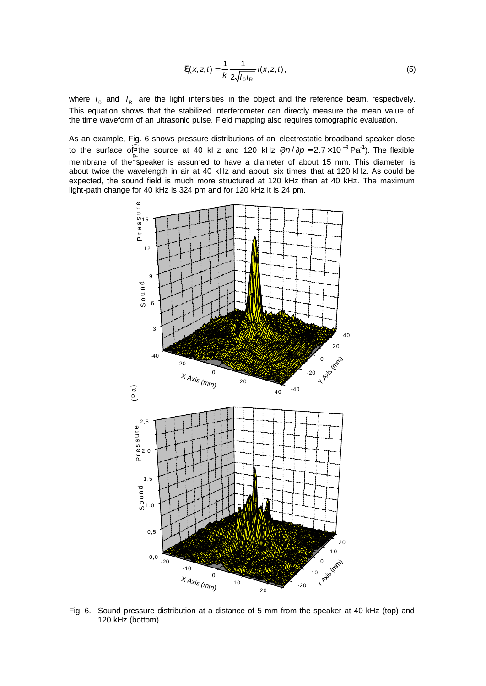$$
\mathbf{x}(x, z, t) = \frac{1}{k} \frac{1}{2\sqrt{l_0 l_{\rm R}}} I(x, z, t), \qquad (5)
$$

where  $I_0$  and  $I_R$  are the light intensities in the object and the reference beam, respectively. This equation shows that the stabilized interferometer can directly measure the mean value of the time waveform of an ultrasonic pulse. Field mapping also requires tomographic evaluation.

As an example, Fig. 6 shows pressure distributions of an electrostatic broadband speaker close to the surface of the source at 40 kHz and 120 kHz  $\left(\frac{\partial n}{\partial p}\right) = 2.7 \times 10^{-9}$  Pa<sup>-1</sup>). The flexible membrane of the speaker is assumed to have a diameter of about 15 mm. This diameter is about twice the wavelength in air at 40 kHz and about six times that at 120 kHz. As could be expected, the sound field is much more structured at 120 kHz than at 40 kHz. The maximum light-path change for 40 kHz is 324 pm and for 120 kHz it is 24 pm.



Fig. 6. Sound pressure distribution at a distance of 5 mm from the speaker at 40 kHz (top) and 120 kHz (bottom)